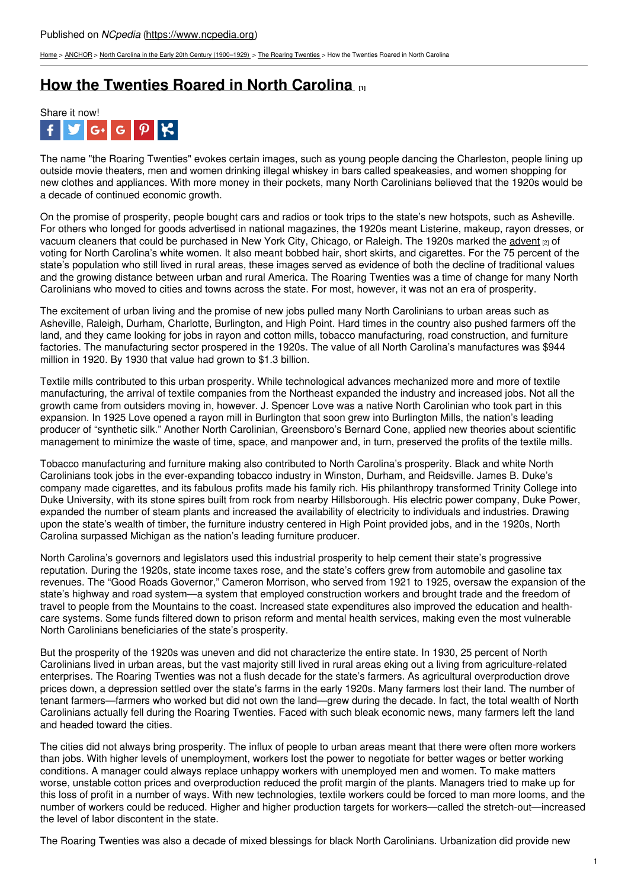[Home](https://www.ncpedia.org/) > [ANCHOR](https://www.ncpedia.org/anchor/anchor) > North Carolina in the Early 20th Century [\(1900–1929\)](https://www.ncpedia.org/anchor/north-carolina-early-20th) > The Roaring [Twenties](https://www.ncpedia.org/anchor/roaring-twenties) > How the Twenties Roared in North Carolina

## **How the [Twenties](https://www.ncpedia.org/anchor/how-twenties-roared-north) Roared in North Carolina [1]**



The name "the Roaring Twenties" evokes certain images, such as young people dancing the Charleston, people lining up outside movie theaters, men and women drinking illegal whiskey in bars called speakeasies, and women shopping for new clothes and appliances. With more money in their pockets, many North Carolinians believed that the 1920s would be a decade of continued economic growth.

On the promise of prosperity, people bought cars and radios or took trips to the state's new hotspots, such as Asheville. For others who longed for goods advertised in national magazines, the 1920s meant Listerine, makeup, rayon dresses, or vacuum cleaners that could be purchased in New York City, Chicago, or Raleigh. The 1920s marked the [advent](https://www.ncpedia.org/glossary/advent) [2] of voting for North Carolina's white women. It also meant bobbed hair, short skirts, and cigarettes. For the 75 percent of the state's population who still lived in rural areas, these images served as evidence of both the decline of traditional values and the growing distance between urban and rural [Ameri](http://www.social9.com)ca. The Roaring Twenties was a time of change for many North Carolinians who moved to cities and towns across the state. For most, however, it was not an era of prosperity.

The excitement of urban living and the promise of new jobs pulled many North Carolinians to urban areas such as Asheville, Raleigh, Durham, Charlotte, Burlington, and High Point. Hard times in the country also pushed farmers off the land, and they came looking for jobs in rayon and cotton mills, tobacco manufacturing, road construction, and furniture factories. The manufacturing sector prospered in the 1920s. The value of all North Carolina's manufactures was \$944 million in 1920. By 1930 that value had grown to \$1.3 billion.

Textile mills contributed to this urban prosperity. While technological advances mechanized more and more of textile manufacturing, the arrival of textile companies from the Northeast expanded the industry and increased jobs. Not all the growth came from outsiders moving in, however. J. Spencer Love was a native North Carolinian who took part in this expansion. In 1925 Love opened a rayon mill in Burlington that soon grew into Burlington Mills, the nation's leading producer of "synthetic silk." Another North Carolinian, Greensboro's Bernard Cone, applied new theories about scientific management to minimize the waste of time, space, and manpower and, in turn, preserved the profits of the textile mills.

Tobacco manufacturing and furniture making also contributed to North Carolina's prosperity. Black and white North Carolinians took jobs in the ever-expanding tobacco industry in Winston, Durham, and Reidsville. James B. Duke's company made cigarettes, and its fabulous profits made his family rich. His philanthropy transformed Trinity College into Duke University, with its stone spires built from rock from nearby Hillsborough. His electric power company, Duke Power, expanded the number of steam plants and increased the availability of electricity to individuals and industries. Drawing upon the state's wealth of timber, the furniture industry centered in High Point provided jobs, and in the 1920s, North Carolina surpassed Michigan as the nation's leading furniture producer.

North Carolina's governors and legislators used this industrial prosperity to help cement their state's progressive reputation. During the 1920s, state income taxes rose, and the state's coffers grew from automobile and gasoline tax revenues. The "Good Roads Governor," Cameron Morrison, who served from 1921 to 1925, oversaw the expansion of the state's highway and road system—a system that employed construction workers and brought trade and the freedom of travel to people from the Mountains to the coast. Increased state expenditures also improved the education and healthcare systems. Some funds filtered down to prison reform and mental health services, making even the most vulnerable North Carolinians beneficiaries of the state's prosperity.

But the prosperity of the 1920s was uneven and did not characterize the entire state. In 1930, 25 percent of North Carolinians lived in urban areas, but the vast majority still lived in rural areas eking out a living from agriculture-related enterprises. The Roaring Twenties was not a flush decade for the state's farmers. As agricultural overproduction drove prices down, a depression settled over the state's farms in the early 1920s. Many farmers lost their land. The number of tenant farmers—farmers who worked but did not own the land—grew during the decade. In fact, the total wealth of North Carolinians actually fell during the Roaring Twenties. Faced with such bleak economic news, many farmers left the land and headed toward the cities.

The cities did not always bring prosperity. The influx of people to urban areas meant that there were often more workers than jobs. With higher levels of unemployment, workers lost the power to negotiate for better wages or better working conditions. A manager could always replace unhappy workers with unemployed men and women. To make matters worse, unstable cotton prices and overproduction reduced the profit margin of the plants. Managers tried to make up for this loss of profit in a number of ways. With new technologies, textile workers could be forced to man more looms, and the number of workers could be reduced. Higher and higher production targets for workers—called the stretch-out—increased the level of labor discontent in the state.

The Roaring Twenties was also a decade of mixed blessings for black North Carolinians. Urbanization did provide new